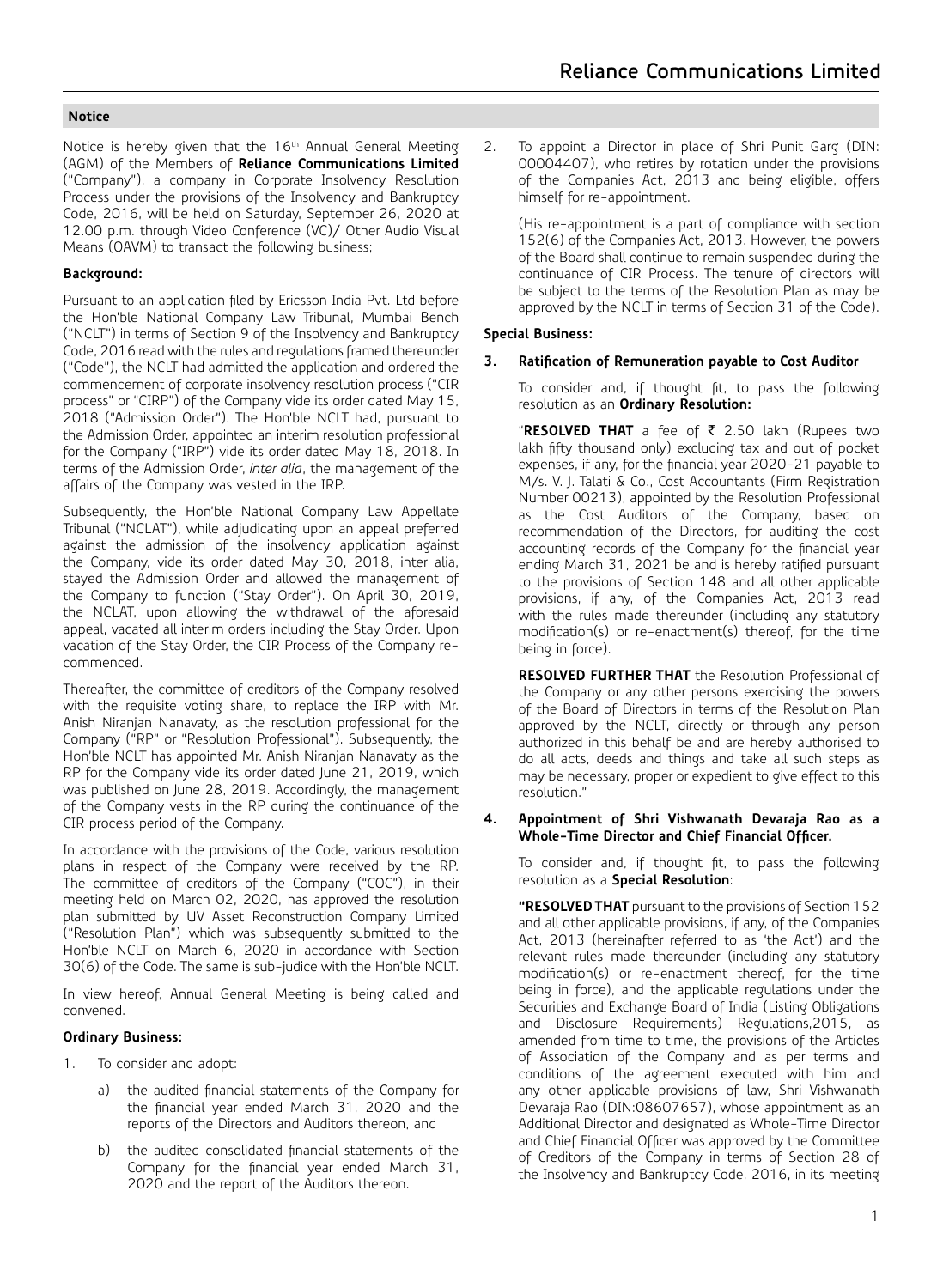Notice is hereby given that the 16<sup>th</sup> Annual General Meeting (AGM) of the Members of **Reliance Communications Limited**  ("Company"), a company in Corporate Insolvency Resolution Process under the provisions of the Insolvency and Bankruptcy Code, 2016, will be held on Saturday, September 26, 2020 at 12.00 p.m. through Video Conference (VC)/ Other Audio Visual Means (OAVM) to transact the following business;

## **Background:**

Pursuant to an application filed by Ericsson India Pvt. Ltd before the Hon'ble National Company Law Tribunal, Mumbai Bench ("NCLT") in terms of Section 9 of the Insolvency and Bankruptcy Code, 2016 read with the rules and regulations framed thereunder ("Code"), the NCLT had admitted the application and ordered the commencement of corporate insolvency resolution process ("CIR process" or "CIRP") of the Company vide its order dated May 15, 2018 ("Admission Order"). The Hon'ble NCLT had, pursuant to the Admission Order, appointed an interim resolution professional for the Company ("IRP") vide its order dated May 18, 2018. In terms of the Admission Order, *inter alia*, the management of the affairs of the Company was vested in the IRP.

Subsequently, the Hon'ble National Company Law Appellate Tribunal ("NCLAT"), while adjudicating upon an appeal preferred against the admission of the insolvency application against the Company, vide its order dated May 30, 2018, inter alia, stayed the Admission Order and allowed the management of the Company to function ("Stay Order"). On April 30, 2019, the NCLAT, upon allowing the withdrawal of the aforesaid appeal, vacated all interim orders including the Stay Order. Upon vacation of the Stay Order, the CIR Process of the Company recommenced.

Thereafter, the committee of creditors of the Company resolved with the requisite voting share, to replace the IRP with Mr. Anish Niranjan Nanavaty, as the resolution professional for the Company ("RP" or "Resolution Professional"). Subsequently, the Hon'ble NCLT has appointed Mr. Anish Niranjan Nanavaty as the RP for the Company vide its order dated June 21, 2019, which was published on June 28, 2019. Accordingly, the management of the Company vests in the RP during the continuance of the CIR process period of the Company.

In accordance with the provisions of the Code, various resolution plans in respect of the Company were received by the RP. The committee of creditors of the Company ("COC"), in their meeting held on March 02, 2020, has approved the resolution plan submitted by UV Asset Reconstruction Company Limited ("Resolution Plan") which was subsequently submitted to the Hon'ble NCLT on March 6, 2020 in accordance with Section 30(6) of the Code. The same is sub-judice with the Hon'ble NCLT.

In view hereof, Annual General Meeting is being called and convened.

## **Ordinary Business:**

- 1. To consider and adopt:
	- a) the audited financial statements of the Company for the financial year ended March 31, 2020 and the reports of the Directors and Auditors thereon, and
	- b) the audited consolidated financial statements of the Company for the financial year ended March 31, 2020 and the report of the Auditors thereon.

2. To appoint a Director in place of Shri Punit Garg (DIN: 00004407), who retires by rotation under the provisions of the Companies Act, 2013 and being eligible, offers himself for re-appointment.

(His re-appointment is a part of compliance with section 152(6) of the Companies Act, 2013. However, the powers of the Board shall continue to remain suspended during the continuance of CIR Process. The tenure of directors will be subject to the terms of the Resolution Plan as may be approved by the NCLT in terms of Section 31 of the Code).

## **Special Business:**

## **3. Ratification of Remuneration payable to Cost Auditor**

To consider and, if thought fit, to pass the following resolution as an **Ordinary Resolution:**

"RESOLVED THAT a fee of ₹ 2.50 lakh (Rupees two lakh fifty thousand only) excluding tax and out of pocket expenses, if any, for the financial year 2020-21 payable to M/s. V. J. Talati & Co., Cost Accountants (Firm Registration Number 00213), appointed by the Resolution Professional as the Cost Auditors of the Company, based on recommendation of the Directors, for auditing the cost accounting records of the Company for the financial year ending March 31, 2021 be and is hereby ratified pursuant to the provisions of Section 148 and all other applicable provisions, if any, of the Companies Act, 2013 read with the rules made thereunder (including any statutory modification(s) or re-enactment(s) thereof, for the time being in force).

**RESOLVED FURTHER THAT** the Resolution Professional of the Company or any other persons exercising the powers of the Board of Directors in terms of the Resolution Plan approved by the NCLT, directly or through any person authorized in this behalf be and are hereby authorised to do all acts, deeds and things and take all such steps as may be necessary, proper or expedient to give effect to this resolution."

## **4. Appointment of Shri Vishwanath Devaraja Rao as a Whole-Time Director and Chief Financial Officer.**

To consider and, if thought fit, to pass the following resolution as a **Special Resolution**:

**"RESOLVED THAT** pursuant to the provisions of Section 152 and all other applicable provisions, if any, of the Companies Act, 2013 (hereinafter referred to as 'the Act') and the relevant rules made thereunder (including any statutory modification(s) or re-enactment thereof, for the time being in force), and the applicable regulations under the Securities and Exchange Board of India (Listing Obligations and Disclosure Requirements) Regulations,2015, as amended from time to time, the provisions of the Articles of Association of the Company and as per terms and conditions of the agreement executed with him and any other applicable provisions of law, Shri Vishwanath Devaraja Rao (DIN:08607657), whose appointment as an Additional Director and designated as Whole-Time Director and Chief Financial Officer was approved by the Committee of Creditors of the Company in terms of Section 28 of the Insolvency and Bankruptcy Code, 2016, in its meeting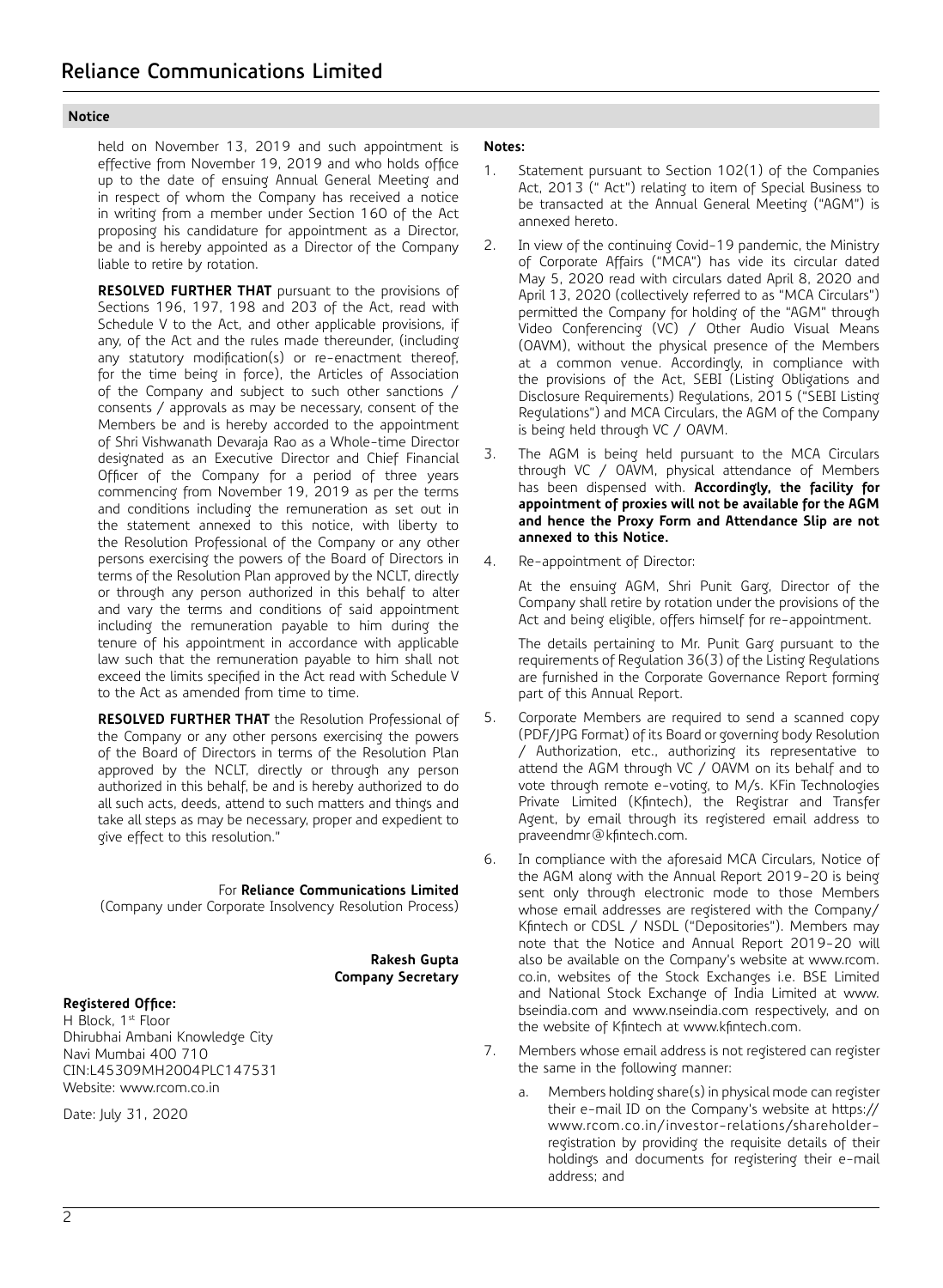held on November 13, 2019 and such appointment is effective from November 19, 2019 and who holds office up to the date of ensuing Annual General Meeting and in respect of whom the Company has received a notice in writing from a member under Section 160 of the Act proposing his candidature for appointment as a Director, be and is hereby appointed as a Director of the Company liable to retire by rotation.

**RESOLVED FURTHER THAT** pursuant to the provisions of Sections 196, 197, 198 and 203 of the Act, read with Schedule V to the Act, and other applicable provisions, if any, of the Act and the rules made thereunder, (including any statutory modification(s) or re-enactment thereof, for the time being in force), the Articles of Association of the Company and subject to such other sanctions / consents / approvals as may be necessary, consent of the Members be and is hereby accorded to the appointment of Shri Vishwanath Devaraja Rao as a Whole-time Director designated as an Executive Director and Chief Financial Officer of the Company for a period of three years commencing from November 19, 2019 as per the terms and conditions including the remuneration as set out in the statement annexed to this notice, with liberty to the Resolution Professional of the Company or any other persons exercising the powers of the Board of Directors in terms of the Resolution Plan approved by the NCLT, directly or through any person authorized in this behalf to alter and vary the terms and conditions of said appointment including the remuneration payable to him during the tenure of his appointment in accordance with applicable law such that the remuneration payable to him shall not exceed the limits specified in the Act read with Schedule V to the Act as amended from time to time.

**RESOLVED FURTHER THAT** the Resolution Professional of the Company or any other persons exercising the powers of the Board of Directors in terms of the Resolution Plan approved by the NCLT, directly or through any person authorized in this behalf, be and is hereby authorized to do all such acts, deeds, attend to such matters and things and take all steps as may be necessary, proper and expedient to give effect to this resolution."

For **Reliance Communications Limited**

(Company under Corporate Insolvency Resolution Process)

**Rakesh Gupta Company Secretary**

# **Registered Office:**

H Block, 1st Floor Dhirubhai Ambani Knowledge City Navi Mumbai 400 710 CIN:L45309MH2004PLC147531 Website: www.rcom.co.in

Date: July 31, 2020

## **Notes:**

- 1. Statement pursuant to Section 102(1) of the Companies Act, 2013 (" Act") relating to item of Special Business to be transacted at the Annual General Meeting ("AGM") is annexed hereto.
- 2. In view of the continuing Covid-19 pandemic, the Ministry of Corporate Affairs ("MCA") has vide its circular dated May 5, 2020 read with circulars dated April 8, 2020 and April 13, 2020 (collectively referred to as "MCA Circulars") permitted the Company for holding of the "AGM" through Video Conferencing (VC) / Other Audio Visual Means (OAVM), without the physical presence of the Members at a common venue. Accordingly, in compliance with the provisions of the Act, SEBI (Listing Obligations and Disclosure Requirements) Regulations, 2015 ("SEBI Listing Regulations") and MCA Circulars, the AGM of the Company is being held through VC / OAVM.
- 3. The AGM is being held pursuant to the MCA Circulars through VC / OAVM, physical attendance of Members has been dispensed with. **Accordingly, the facility for appointment of proxies will not be available for the AGM and hence the Proxy Form and Attendance Slip are not annexed to this Notice.**
- 4. Re-appointment of Director:

At the ensuing AGM, Shri Punit Garg, Director of the Company shall retire by rotation under the provisions of the Act and being eligible, offers himself for re-appointment.

The details pertaining to Mr. Punit Garg pursuant to the requirements of Regulation 36(3) of the Listing Regulations are furnished in the Corporate Governance Report forming part of this Annual Report.

- 5. Corporate Members are required to send a scanned copy (PDF/JPG Format) of its Board or governing body Resolution / Authorization, etc., authorizing its representative to attend the AGM through VC / OAVM on its behalf and to vote through remote e-voting, to M/s. KFin Technologies Private Limited (Kfintech), the Registrar and Transfer Agent, by email through its registered email address to praveendmr@kfintech.com.
- 6. In compliance with the aforesaid MCA Circulars, Notice of the AGM along with the Annual Report 2019-20 is being sent only through electronic mode to those Members whose email addresses are registered with the Company/ Kfintech or CDSL / NSDL ("Depositories"). Members may note that the Notice and Annual Report 2019-20 will also be available on the Company's website at www.rcom. co.in, websites of the Stock Exchanges i.e. BSE Limited and National Stock Exchange of India Limited at www. bseindia.com and www.nseindia.com respectively, and on the website of Kfintech at www.kfintech.com.
- 7. Members whose email address is not registered can register the same in the following manner:
	- a. Members holding share(s) in physical mode can register their e-mail ID on the Company's website at https:// www.rcom.co.in/investor-relations/shareholderregistration by providing the requisite details of their holdings and documents for registering their e-mail address; and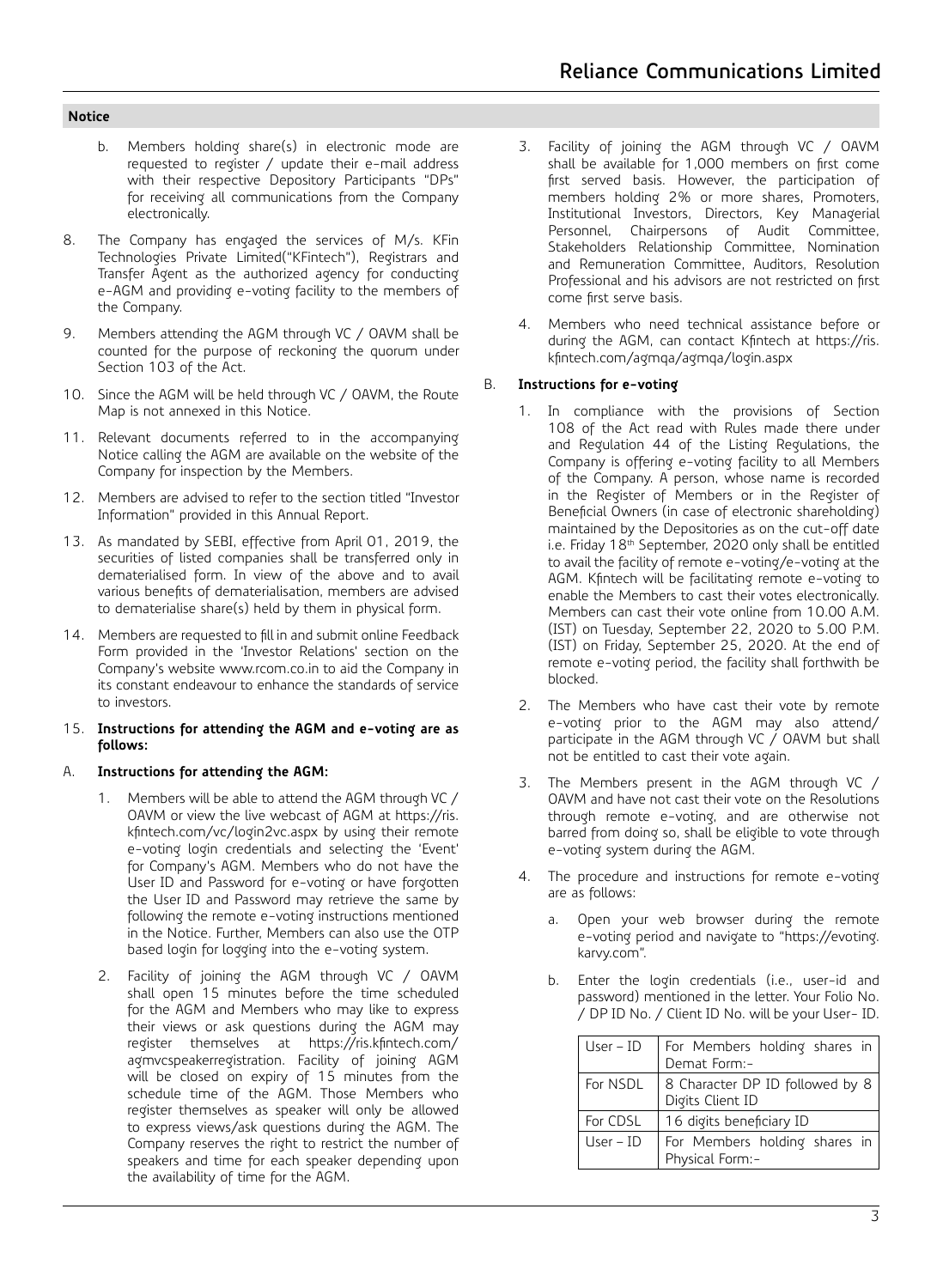- b. Members holding share(s) in electronic mode are requested to register / update their e-mail address with their respective Depository Participants "DPs" for receiving all communications from the Company electronically.
- 8. The Company has engaged the services of M/s. KFin Technologies Private Limited("KFintech"), Registrars and Transfer Agent as the authorized agency for conducting e-AGM and providing e-voting facility to the members of the Company.
- 9. Members attending the AGM through VC / OAVM shall be counted for the purpose of reckoning the quorum under Section 103 of the Act.
- 10. Since the AGM will be held through VC / OAVM, the Route Map is not annexed in this Notice.
- 11. Relevant documents referred to in the accompanying Notice calling the AGM are available on the website of the Company for inspection by the Members.
- 12. Members are advised to refer to the section titled "Investor Information" provided in this Annual Report.
- 13. As mandated by SEBI, effective from April 01, 2019, the securities of listed companies shall be transferred only in dematerialised form. In view of the above and to avail various benefits of dematerialisation, members are advised to dematerialise share(s) held by them in physical form.
- 14. Members are requested to fill in and submit online Feedback Form provided in the 'Investor Relations' section on the Company's website www.rcom.co.in to aid the Company in its constant endeavour to enhance the standards of service to investors.
- 15. **Instructions for attending the AGM and e-voting are as follows:**

## A. **Instructions for attending the AGM:**

- 1. Members will be able to attend the AGM through VC / OAVM or view the live webcast of AGM at https://ris. kfintech.com/vc/login2vc.aspx by using their remote e-voting login credentials and selecting the 'Event' for Company's AGM. Members who do not have the User ID and Password for e-voting or have forgotten the User ID and Password may retrieve the same by following the remote e-voting instructions mentioned in the Notice. Further, Members can also use the OTP based login for logging into the e-voting system.
- 2. Facility of joining the AGM through VC / OAVM shall open 15 minutes before the time scheduled for the AGM and Members who may like to express their views or ask questions during the AGM may register themselves at https://ris.kfintech.com/ agmvcspeakerregistration. Facility of joining AGM will be closed on expiry of 15 minutes from the schedule time of the AGM. Those Members who register themselves as speaker will only be allowed to express views/ask questions during the AGM. The Company reserves the right to restrict the number of speakers and time for each speaker depending upon the availability of time for the AGM.
- 3. Facility of joining the AGM through VC / OAVM shall be available for 1,000 members on first come first served basis. However, the participation of members holding 2% or more shares, Promoters, Institutional Investors, Directors, Key Managerial Personnel, Chairpersons of Audit Committee, Stakeholders Relationship Committee, Nomination and Remuneration Committee, Auditors, Resolution Professional and his advisors are not restricted on first come first serve basis.
- 4. Members who need technical assistance before or during the AGM, can contact Kfintech at https://ris. kfintech.com/agmqa/agmqa/login.aspx

### B. **Instructions for e-voting**

- 1. In compliance with the provisions of Section 108 of the Act read with Rules made there under and Regulation 44 of the Listing Regulations, the Company is offering e-voting facility to all Members of the Company. A person, whose name is recorded in the Register of Members or in the Register of Beneficial Owners (in case of electronic shareholding) maintained by the Depositories as on the cut-off date i.e. Friday 18<sup>th</sup> September, 2020 only shall be entitled to avail the facility of remote e-voting/e-voting at the AGM. Kfintech will be facilitating remote e-voting to enable the Members to cast their votes electronically. Members can cast their vote online from 10.00 A.M. (IST) on Tuesday, September 22, 2020 to 5.00 P.M. (IST) on Friday, September 25, 2020. At the end of remote e-voting period, the facility shall forthwith be blocked.
- 2. The Members who have cast their vote by remote e-voting prior to the AGM may also attend/ participate in the AGM through VC / OAVM but shall not be entitled to cast their vote again.
- 3. The Members present in the AGM through VC / OAVM and have not cast their vote on the Resolutions through remote e-voting, and are otherwise not barred from doing so, shall be eligible to vote through e-voting system during the AGM.
- 4. The procedure and instructions for remote e-voting are as follows:
	- a. Open your web browser during the remote e-voting period and navigate to "https://evoting. karvy.com".
	- b. Enter the login credentials (i.e., user-id and password) mentioned in the letter. Your Folio No. / DP ID No. / Client ID No. will be your User- ID.

| $User - ID$ | For Members holding shares in<br>Demat Form:-       |  |  |  |  |
|-------------|-----------------------------------------------------|--|--|--|--|
| For NSDL    | 8 Character DP ID followed by 8<br>Digits Client ID |  |  |  |  |
| For CDSL    | 16 digits beneficiary ID                            |  |  |  |  |
| $User - ID$ | For Members holding shares in<br>Physical Form:-    |  |  |  |  |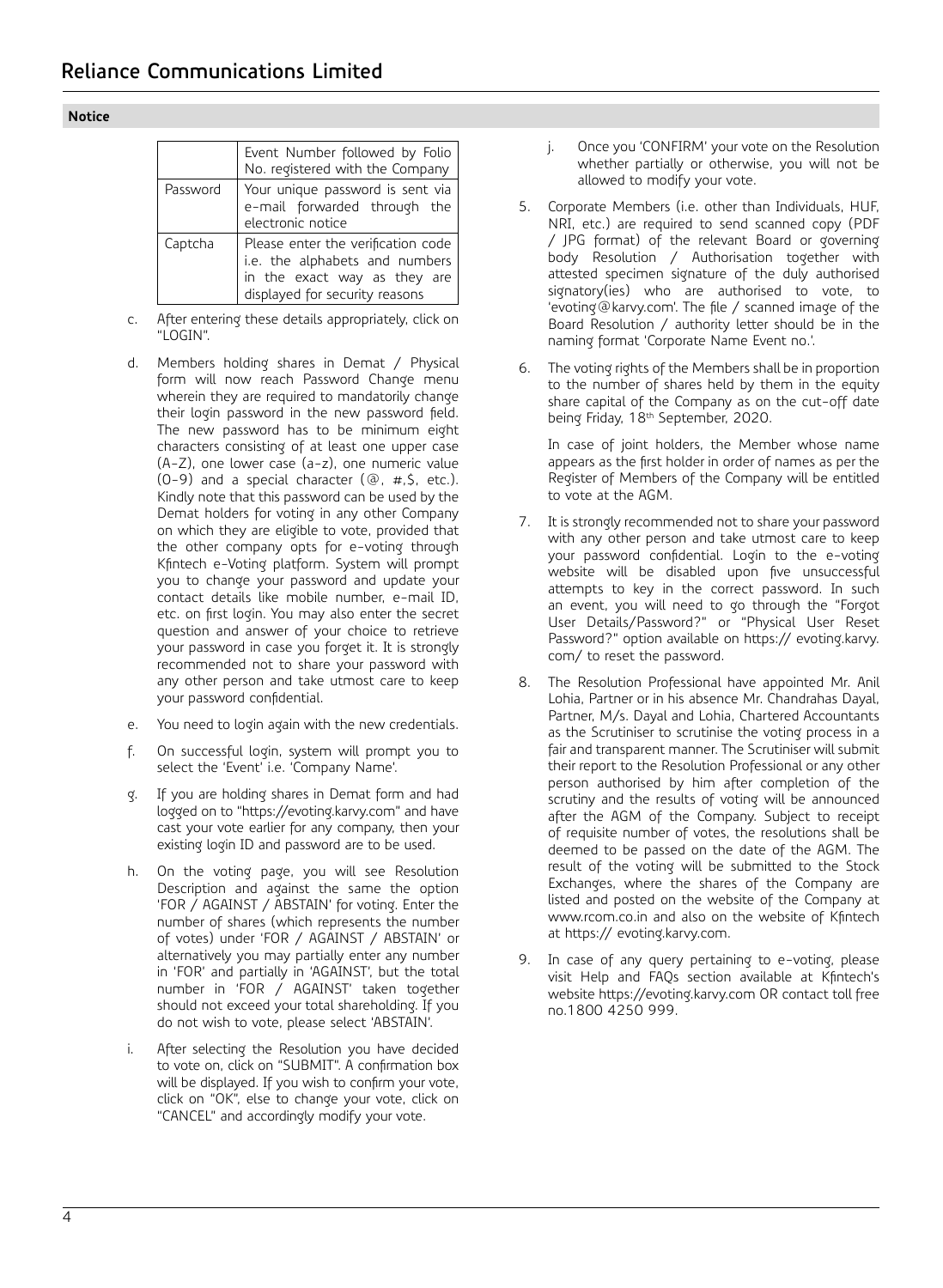|          | Event Number followed by Folio<br>No. registered with the Company                                                                      |  |  |  |  |
|----------|----------------------------------------------------------------------------------------------------------------------------------------|--|--|--|--|
| Password | Your unique password is sent via<br>e-mail forwarded through the<br>electronic notice                                                  |  |  |  |  |
| Captcha  | Please enter the verification code<br>i.e. the alphabets and numbers<br>in the exact way as they are<br>displayed for security reasons |  |  |  |  |

- c. After entering these details appropriately, click on "LOGIN".
- d. Members holding shares in Demat / Physical form will now reach Password Change menu wherein they are required to mandatorily change their login password in the new password field. The new password has to be minimum eight characters consisting of at least one upper case (A-Z), one lower case (a-z), one numeric value  $(0-9)$  and a special character  $(②, #, $, etc.).$ Kindly note that this password can be used by the Demat holders for voting in any other Company on which they are eligible to vote, provided that the other company opts for e-voting through Kfintech e-Voting platform. System will prompt you to change your password and update your contact details like mobile number, e-mail ID, etc. on first login. You may also enter the secret question and answer of your choice to retrieve your password in case you forget it. It is strongly recommended not to share your password with any other person and take utmost care to keep your password confidential.
- e. You need to login again with the new credentials.
- f. On successful login, system will prompt you to select the 'Event' i.e. 'Company Name'.
- g. If you are holding shares in Demat form and had logged on to "https://evoting.karvy.com" and have cast your vote earlier for any company, then your existing login ID and password are to be used.
- h. On the voting page, you will see Resolution Description and against the same the option 'FOR / AGAINST / ABSTAIN' for voting. Enter the number of shares (which represents the number of votes) under 'FOR / AGAINST / ABSTAIN' or alternatively you may partially enter any number in 'FOR' and partially in 'AGAINST', but the total number in 'FOR / AGAINST' taken together should not exceed your total shareholding. If you do not wish to vote, please select 'ABSTAIN'.
- i. After selecting the Resolution you have decided to vote on, click on "SUBMIT". A confirmation box will be displayed. If you wish to confirm your vote, click on "OK", else to change your vote, click on "CANCEL" and accordingly modify your vote.
- j. Once you 'CONFIRM' your vote on the Resolution whether partially or otherwise, you will not be allowed to modify your vote.
- 5. Corporate Members (i.e. other than Individuals, HUF, NRI, etc.) are required to send scanned copy (PDF / JPG format) of the relevant Board or governing body Resolution / Authorisation together with attested specimen signature of the duly authorised signatory(ies) who are authorised to vote, to 'evoting@karvy.com'. The file / scanned image of the Board Resolution / authority letter should be in the naming format 'Corporate Name Event no.'.
- 6. The voting rights of the Members shall be in proportion to the number of shares held by them in the equity share capital of the Company as on the cut-off date being Friday, 18<sup>th</sup> September, 2020.

 In case of joint holders, the Member whose name appears as the first holder in order of names as per the Register of Members of the Company will be entitled to vote at the AGM.

- 7. It is strongly recommended not to share your password with any other person and take utmost care to keep your password confidential. Login to the e-voting website will be disabled upon five unsuccessful attempts to key in the correct password. In such an event, you will need to go through the "Forgot User Details/Password?" or "Physical User Reset Password?" option available on https:// evoting.karvy. com/ to reset the password.
- 8. The Resolution Professional have appointed Mr. Anil Lohia, Partner or in his absence Mr. Chandrahas Dayal, Partner, M/s. Dayal and Lohia, Chartered Accountants as the Scrutiniser to scrutinise the voting process in a fair and transparent manner. The Scrutiniser will submit their report to the Resolution Professional or any other person authorised by him after completion of the scrutiny and the results of voting will be announced after the AGM of the Company. Subject to receipt of requisite number of votes, the resolutions shall be deemed to be passed on the date of the AGM. The result of the voting will be submitted to the Stock Exchanges, where the shares of the Company are listed and posted on the website of the Company at www.rcom.co.in and also on the website of Kfintech at https:// evoting.karvy.com.
- 9. In case of any query pertaining to e-voting, please visit Help and FAQs section available at Kfintech's website https://evoting.karvy.com OR contact toll free no.1800 4250 999.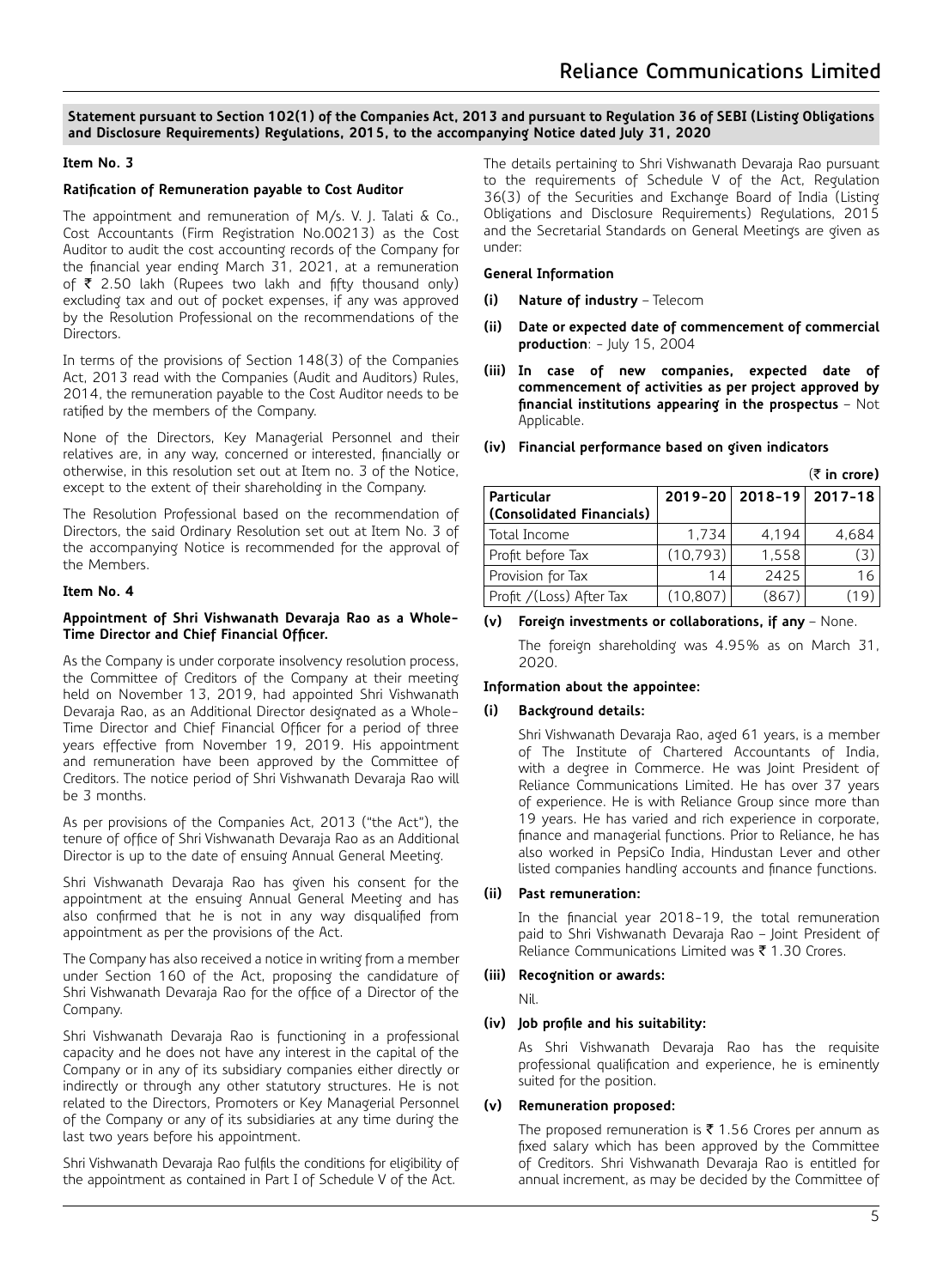### **Statement pursuant to Section 102(1) of the Companies Act, 2013 and pursuant to Regulation 36 of SEBI (Listing Obligations and Disclosure Requirements) Regulations, 2015, to the accompanying Notice dated July 31, 2020**

## **Item No. 3**

## **Ratification of Remuneration payable to Cost Auditor**

The appointment and remuneration of M/s. V. J. Talati & Co., Cost Accountants (Firm Registration No.00213) as the Cost Auditor to audit the cost accounting records of the Company for the financial year ending March 31, 2021, at a remuneration of  $\bar{\tau}$  2.50 lakh (Rupees two lakh and fifty thousand only) excluding tax and out of pocket expenses, if any was approved by the Resolution Professional on the recommendations of the Directors.

In terms of the provisions of Section 148(3) of the Companies Act, 2013 read with the Companies (Audit and Auditors) Rules, 2014, the remuneration payable to the Cost Auditor needs to be ratified by the members of the Company.

None of the Directors, Key Managerial Personnel and their relatives are, in any way, concerned or interested, financially or otherwise, in this resolution set out at Item no. 3 of the Notice, except to the extent of their shareholding in the Company.

The Resolution Professional based on the recommendation of Directors, the said Ordinary Resolution set out at Item No. 3 of the accompanying Notice is recommended for the approval of the Members.

### **Item No. 4**

### **Appointment of Shri Vishwanath Devaraja Rao as a Whole-Time Director and Chief Financial Officer.**

As the Company is under corporate insolvency resolution process, the Committee of Creditors of the Company at their meeting held on November 13, 2019, had appointed Shri Vishwanath Devaraja Rao, as an Additional Director designated as a Whole-Time Director and Chief Financial Officer for a period of three years effective from November 19, 2019. His appointment and remuneration have been approved by the Committee of Creditors. The notice period of Shri Vishwanath Devaraja Rao will be 3 months.

As per provisions of the Companies Act, 2013 ("the Act"), the tenure of office of Shri Vishwanath Devaraja Rao as an Additional Director is up to the date of ensuing Annual General Meeting.

Shri Vishwanath Devaraja Rao has given his consent for the appointment at the ensuing Annual General Meeting and has also confirmed that he is not in any way disqualified from appointment as per the provisions of the Act.

The Company has also received a notice in writing from a member under Section 160 of the Act, proposing the candidature of Shri Vishwanath Devaraja Rao for the office of a Director of the Company.

Shri Vishwanath Devaraja Rao is functioning in a professional capacity and he does not have any interest in the capital of the Company or in any of its subsidiary companies either directly or indirectly or through any other statutory structures. He is not related to the Directors, Promoters or Key Managerial Personnel of the Company or any of its subsidiaries at any time during the last two years before his appointment.

Shri Vishwanath Devaraja Rao fulfils the conditions for eligibility of the appointment as contained in Part I of Schedule V of the Act.

The details pertaining to Shri Vishwanath Devaraja Rao pursuant to the requirements of Schedule V of the Act, Regulation 36(3) of the Securities and Exchange Board of India (Listing Obligations and Disclosure Requirements) Regulations, 2015 and the Secretarial Standards on General Meetings are given as under:

### **General Information**

- **(i) Nature of industry** Telecom
- **(ii) Date or expected date of commencement of commercial production**: - July 15, 2004
- **(iii) In case of new companies, expected date of commencement of activities as per project approved by financial institutions appearing in the prospectus** – Not Applicable.

|                                         | $(\bar{z}$ in crore) |                         |       |
|-----------------------------------------|----------------------|-------------------------|-------|
| Particular<br>(Consolidated Financials) |                      | 2019-20 2018-19 2017-18 |       |
| Total Income                            | 1.734                | 4.194                   | 4.684 |
| Profit before Tax                       | (10, 793)            | 1.558                   | (3)   |
| Provision for Tax                       | 14                   | 2425                    | 16    |
| Profit / (Loss) After Tax               | (10.807)             | (867)                   | (19   |

|  |  | (iv) Financial performance based on given indicators |  |  |  |
|--|--|------------------------------------------------------|--|--|--|
|--|--|------------------------------------------------------|--|--|--|

## **(v) Foreign investments or collaborations, if any** – None.

The foreign shareholding was 4.95% as on March 31, 2020.

## **Information about the appointee:**

## **(i) Background details:**

Shri Vishwanath Devaraja Rao, aged 61 years, is a member of The Institute of Chartered Accountants of India, with a degree in Commerce. He was Joint President of Reliance Communications Limited. He has over 37 years of experience. He is with Reliance Group since more than 19 years. He has varied and rich experience in corporate, finance and managerial functions. Prior to Reliance, he has also worked in PepsiCo India, Hindustan Lever and other listed companies handling accounts and finance functions.

## **(ii) Past remuneration:**

In the financial year 2018-19, the total remuneration paid to Shri Vishwanath Devaraja Rao – Joint President of Reliance Communications Limited was  $\overline{\mathfrak{e}}$  1.30 Crores.

## **(iii) Recognition or awards:**

Nil.

## **(iv) Job profile and his suitability:**

As Shri Vishwanath Devaraja Rao has the requisite professional qualification and experience, he is eminently suited for the position.

## **(v) Remuneration proposed:**

The proposed remuneration is  $\bar{\tau}$  1.56 Crores per annum as fixed salary which has been approved by the Committee of Creditors. Shri Vishwanath Devaraja Rao is entitled for annual increment, as may be decided by the Committee of